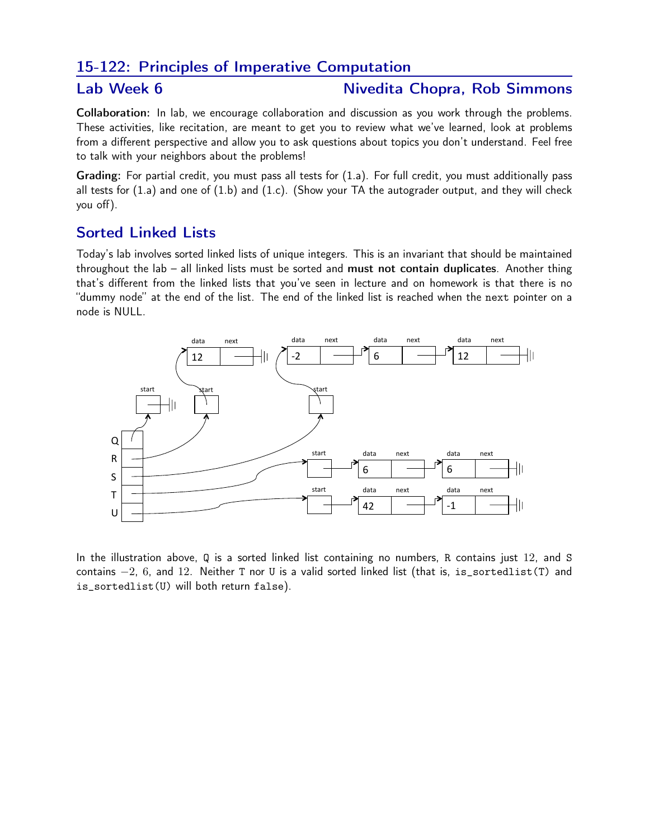## 15-122: Principles of Imperative Computation

## Lab Week 6 Nivedita Chopra, Rob Simmons

Collaboration: In lab, we encourage collaboration and discussion as you work through the problems. These activities, like recitation, are meant to get you to review what we've learned, look at problems from a different perspective and allow you to ask questions about topics you don't understand. Feel free to talk with your neighbors about the problems!

Grading: For partial credit, you must pass all tests for (1.a). For full credit, you must additionally pass all tests for  $(1.a)$  and one of  $(1.b)$  and  $(1.c)$ . (Show your TA the autograder output, and they will check you off).

## Sorted Linked Lists

Today's lab involves sorted linked lists of unique integers. This is an invariant that should be maintained throughout the lab – all linked lists must be sorted and must not contain duplicates. Another thing that's different from the linked lists that you've seen in lecture and on homework is that there is no "dummy node" at the end of the list. The end of the linked list is reached when the next pointer on a node is NULL.



In the illustration above, Q is a sorted linked list containing no numbers, R contains just 12, and S contains  $-2$ , 6, and 12. Neither T nor U is a valid sorted linked list (that is, is\_sortedlist(T) and is\_sortedlist(U) will both return false).